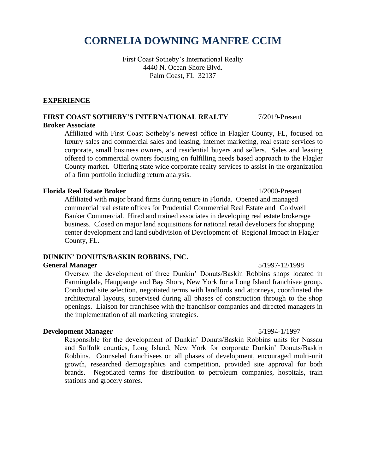# **CORNELIA DOWNING MANFRE CCIM**

First Coast Sotheby's International Realty 4440 N. Ocean Shore Blvd. Palm Coast, FL 32137

#### **EXPERIENCE**

#### **FIRST COAST SOTHEBY'S INTERNATIONAL REALTY** 7/2019-Present

### **Broker Associate**

Affiliated with First Coast Sotheby's newest office in Flagler County, FL, focused on luxury sales and commercial sales and leasing, internet marketing, real estate services to corporate, small business owners, and residential buyers and sellers. Sales and leasing offered to commercial owners focusing on fulfilling needs based approach to the Flagler County market. Offering state wide corporate realty services to assist in the organization of a firm portfolio including return analysis.

#### **Florida Real Estate Broker** 1/2000-Present

Affiliated with major brand firms during tenure in Florida. Opened and managed commercial real estate offices for Prudential Commercial Real Estate and Coldwell Banker Commercial. Hired and trained associates in developing real estate brokerage business. Closed on major land acquisitions for national retail developers for shopping center development and land subdivision of Development of Regional Impact in Flagler County, FL.

#### **DUNKIN' DONUTS/BASKIN ROBBINS, INC.**

#### **General Manager** 5/1997-12/1998

Oversaw the development of three Dunkin' Donuts/Baskin Robbins shops located in Farmingdale, Hauppauge and Bay Shore, New York for a Long Island franchisee group. Conducted site selection, negotiated terms with landlords and attorneys, coordinated the architectural layouts, supervised during all phases of construction through to the shop openings. Liaison for franchisee with the franchisor companies and directed managers in the implementation of all marketing strategies.

#### **Development Manager** 5/1994-1/1997

Responsible for the development of Dunkin' Donuts/Baskin Robbins units for Nassau and Suffolk counties, Long Island, New York for corporate Dunkin' Donuts/Baskin Robbins. Counseled franchisees on all phases of development, encouraged multi-unit growth, researched demographics and competition, provided site approval for both brands. Negotiated terms for distribution to petroleum companies, hospitals, train stations and grocery stores.